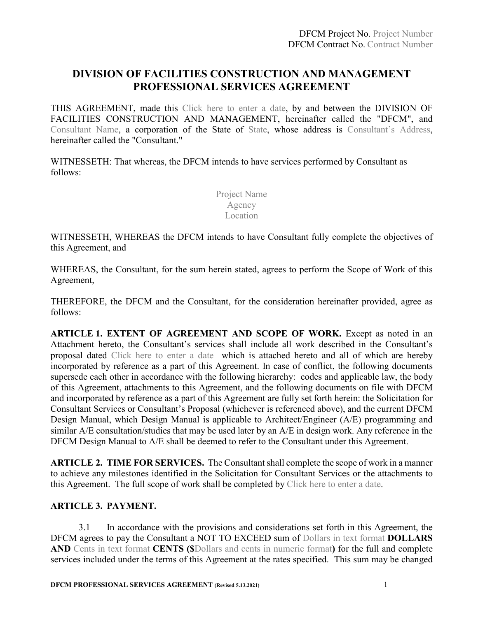## **DIVISION OF FACILITIES CONSTRUCTION AND MANAGEMENT PROFESSIONAL SERVICES AGREEMENT**

THIS AGREEMENT, made this Click here to enter a date, by and between the DIVISION OF FACILITIES CONSTRUCTION AND MANAGEMENT, hereinafter called the "DFCM", and Consultant Name, a corporation of the State of State, whose address is Consultant's Address, hereinafter called the "Consultant."

WITNESSETH: That whereas, the DFCM intends to have services performed by Consultant as follows:

> Project Name Agency Location

WITNESSETH, WHEREAS the DFCM intends to have Consultant fully complete the objectives of this Agreement, and

WHEREAS, the Consultant, for the sum herein stated, agrees to perform the Scope of Work of this Agreement,

THEREFORE, the DFCM and the Consultant, for the consideration hereinafter provided, agree as follows:

**ARTICLE 1. EXTENT OF AGREEMENT AND SCOPE OF WORK.** Except as noted in an Attachment hereto, the Consultant's services shall include all work described in the Consultant's proposal dated Click here to enter a date which is attached hereto and all of which are hereby incorporated by reference as a part of this Agreement. In case of conflict, the following documents supersede each other in accordance with the following hierarchy: codes and applicable law, the body of this Agreement, attachments to this Agreement, and the following documents on file with DFCM and incorporated by reference as a part of this Agreement are fully set forth herein: the Solicitation for Consultant Services or Consultant's Proposal (whichever is referenced above), and the current DFCM Design Manual, which Design Manual is applicable to Architect/Engineer (A/E) programming and similar A/E consultation/studies that may be used later by an A/E in design work. Any reference in the DFCM Design Manual to A/E shall be deemed to refer to the Consultant under this Agreement.

**ARTICLE 2. TIME FOR SERVICES.** The Consultant shall complete the scope of work in a manner to achieve any milestones identified in the Solicitation for Consultant Services or the attachments to this Agreement. The full scope of work shall be completed by Click here to enter a date.

#### **ARTICLE 3. PAYMENT.**

3.1 In accordance with the provisions and considerations set forth in this Agreement, the DFCM agrees to pay the Consultant a NOT TO EXCEED sum of Dollars in text format **DOLLARS AND** Cents in text format **CENTS (\$**Dollars and cents in numeric format**)** for the full and complete services included under the terms of this Agreement at the rates specified. This sum may be changed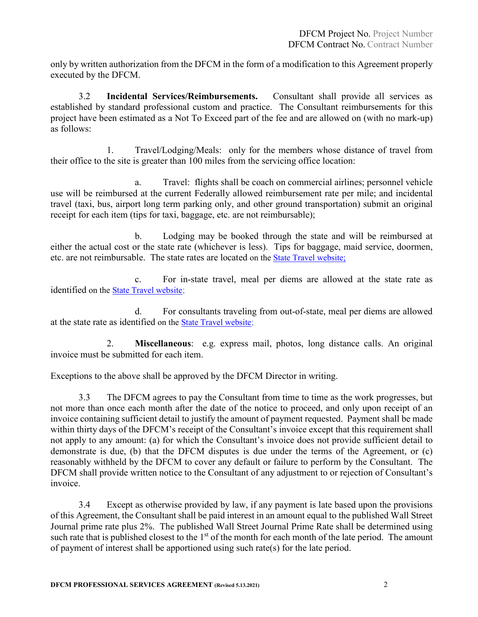only by written authorization from the DFCM in the form of a modification to this Agreement properly executed by the DFCM.

3.2 **Incidental Services/Reimbursements.** Consultant shall provide all services as established by standard professional custom and practice. The Consultant reimbursements for this project have been estimated as a Not To Exceed part of the fee and are allowed on (with no mark-up) as follows:

1. Travel/Lodging/Meals:only for the members whose distance of travel from their office to the site is greater than 100 miles from the servicing office location:

a. Travel: flights shall be coach on commercial airlines; personnel vehicle use will be reimbursed at the current Federally allowed reimbursement rate per mile; and incidental travel (taxi, bus, airport long term parking only, and other ground transportation) submit an original receipt for each item (tips for taxi, baggage, etc. are not reimbursable);

b. Lodging may be booked through the state and will be reimbursed at either the actual cost or the state rate (whichever is less). Tips for baggage, maid service, doormen, etc. are not reimbursable. The state rates are located on the [State Travel website;](http://fleet.utah.gov/state-travel-a/)

c. For in-state travel, meal per diems are allowed at the state rate as identified on th[e State Travel website;](http://fleet.utah.gov/state-travel-a/)

d. For consultants traveling from out-of-state, meal per diems are allowed at the state rate as identified on the [State Travel website;](http://fleet.utah.gov/state-travel-a/)

2. **Miscellaneous**: e.g. express mail, photos, long distance calls. An original invoice must be submitted for each item.

Exceptions to the above shall be approved by the DFCM Director in writing.

3.3 The DFCM agrees to pay the Consultant from time to time as the work progresses, but not more than once each month after the date of the notice to proceed, and only upon receipt of an invoice containing sufficient detail to justify the amount of payment requested. Payment shall be made within thirty days of the DFCM's receipt of the Consultant's invoice except that this requirement shall not apply to any amount: (a) for which the Consultant's invoice does not provide sufficient detail to demonstrate is due, (b) that the DFCM disputes is due under the terms of the Agreement, or (c) reasonably withheld by the DFCM to cover any default or failure to perform by the Consultant. The DFCM shall provide written notice to the Consultant of any adjustment to or rejection of Consultant's invoice.

3.4 Except as otherwise provided by law, if any payment is late based upon the provisions of this Agreement, the Consultant shall be paid interest in an amount equal to the published Wall Street Journal prime rate plus 2%. The published Wall Street Journal Prime Rate shall be determined using such rate that is published closest to the  $1<sup>st</sup>$  of the month for each month of the late period. The amount of payment of interest shall be apportioned using such rate(s) for the late period.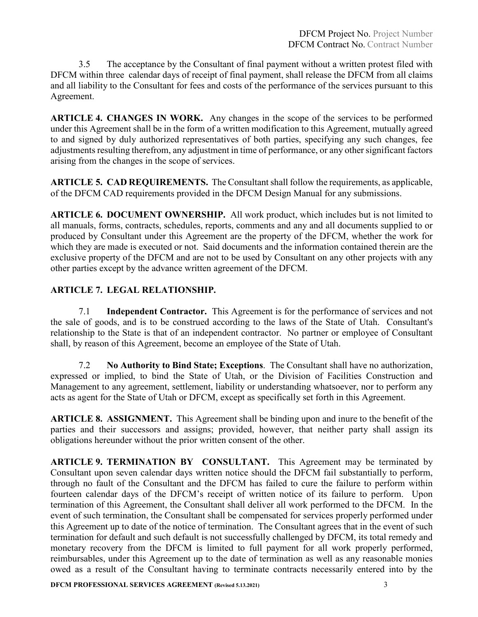3.5 The acceptance by the Consultant of final payment without a written protest filed with DFCM within three calendar days of receipt of final payment, shall release the DFCM from all claims and all liability to the Consultant for fees and costs of the performance of the services pursuant to this Agreement.

**ARTICLE 4. CHANGES IN WORK.** Any changes in the scope of the services to be performed under this Agreement shall be in the form of a written modification to this Agreement, mutually agreed to and signed by duly authorized representatives of both parties, specifying any such changes, fee adjustments resulting therefrom, any adjustment in time of performance, or any other significant factors arising from the changes in the scope of services.

**ARTICLE 5. CAD REQUIREMENTS.** The Consultant shall follow the requirements, as applicable, of the DFCM CAD requirements provided in the DFCM Design Manual for any submissions.

**ARTICLE 6. DOCUMENT OWNERSHIP.** All work product, which includes but is not limited to all manuals, forms, contracts, schedules, reports, comments and any and all documents supplied to or produced by Consultant under this Agreement are the property of the DFCM, whether the work for which they are made is executed or not. Said documents and the information contained therein are the exclusive property of the DFCM and are not to be used by Consultant on any other projects with any other parties except by the advance written agreement of the DFCM.

### **ARTICLE 7. LEGAL RELATIONSHIP.**

7.1 **Independent Contractor.** This Agreement is for the performance of services and not the sale of goods, and is to be construed according to the laws of the State of Utah. Consultant's relationship to the State is that of an independent contractor. No partner or employee of Consultant shall, by reason of this Agreement, become an employee of the State of Utah.

7.2 **No Authority to Bind State; Exceptions**. The Consultant shall have no authorization, expressed or implied, to bind the State of Utah, or the Division of Facilities Construction and Management to any agreement, settlement, liability or understanding whatsoever, nor to perform any acts as agent for the State of Utah or DFCM, except as specifically set forth in this Agreement.

**ARTICLE 8. ASSIGNMENT.** This Agreement shall be binding upon and inure to the benefit of the parties and their successors and assigns; provided, however, that neither party shall assign its obligations hereunder without the prior written consent of the other.

**ARTICLE 9. TERMINATION BY CONSULTANT.** This Agreement may be terminated by Consultant upon seven calendar days written notice should the DFCM fail substantially to perform, through no fault of the Consultant and the DFCM has failed to cure the failure to perform within fourteen calendar days of the DFCM's receipt of written notice of its failure to perform. Upon termination of this Agreement, the Consultant shall deliver all work performed to the DFCM. In the event of such termination, the Consultant shall be compensated for services properly performed under this Agreement up to date of the notice of termination. The Consultant agrees that in the event of such termination for default and such default is not successfully challenged by DFCM, its total remedy and monetary recovery from the DFCM is limited to full payment for all work properly performed, reimbursables, under this Agreement up to the date of termination as well as any reasonable monies owed as a result of the Consultant having to terminate contracts necessarily entered into by the

**DFCM PROFESSIONAL SERVICES AGREEMENT (Revised 5.13.2021)** 3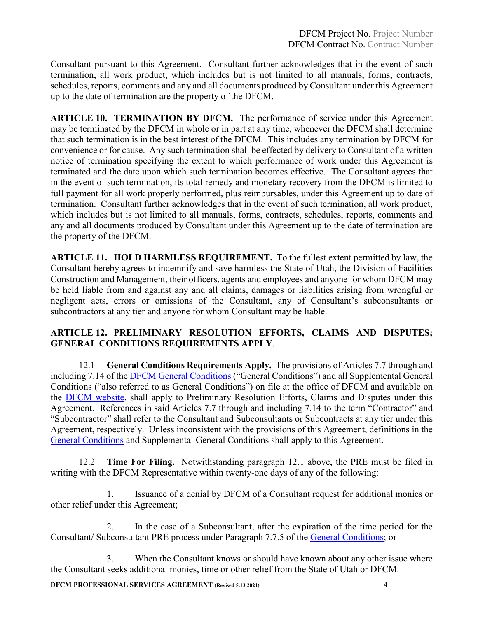Consultant pursuant to this Agreement. Consultant further acknowledges that in the event of such termination, all work product, which includes but is not limited to all manuals, forms, contracts, schedules, reports, comments and any and all documents produced by Consultant under this Agreement up to the date of termination are the property of the DFCM.

**ARTICLE 10. TERMINATION BY DFCM.** The performance of service under this Agreement may be terminated by the DFCM in whole or in part at any time, whenever the DFCM shall determine that such termination is in the best interest of the DFCM. This includes any termination by DFCM for convenience or for cause. Any such termination shall be effected by delivery to Consultant of a written notice of termination specifying the extent to which performance of work under this Agreement is terminated and the date upon which such termination becomes effective. The Consultant agrees that in the event of such termination, its total remedy and monetary recovery from the DFCM is limited to full payment for all work properly performed, plus reimbursables, under this Agreement up to date of termination. Consultant further acknowledges that in the event of such termination, all work product, which includes but is not limited to all manuals, forms, contracts, schedules, reports, comments and any and all documents produced by Consultant under this Agreement up to the date of termination are the property of the DFCM.

**ARTICLE 11. HOLD HARMLESS REQUIREMENT.** To the fullest extent permitted by law, the Consultant hereby agrees to indemnify and save harmless the State of Utah, the Division of Facilities Construction and Management, their officers, agents and employees and anyone for whom DFCM may be held liable from and against any and all claims, damages or liabilities arising from wrongful or negligent acts, errors or omissions of the Consultant, any of Consultant's subconsultants or subcontractors at any tier and anyone for whom Consultant may be liable.

#### **ARTICLE 12. PRELIMINARY RESOLUTION EFFORTS, CLAIMS AND DISPUTES; GENERAL CONDITIONS REQUIREMENTS APPLY**.

12.1 **General Conditions Requirements Apply.** The provisions of Articles 7.7 through and including 7.14 of the [DFCM General Conditions](https://dfcm.utah.gov/construction-management/#documents) ("General Conditions") and all Supplemental General Conditions ("also referred to as General Conditions") on file at the office of DFCM and available on the [DFCM website,](https://dfcm.utah.gov/) shall apply to Preliminary Resolution Efforts, Claims and Disputes under this Agreement. References in said Articles 7.7 through and including 7.14 to the term "Contractor" and "Subcontractor" shall refer to the Consultant and Subconsultants or Subcontracts at any tier under this Agreement, respectively. Unless inconsistent with the provisions of this Agreement, definitions in the [General Conditions](https://dfcm.utah.gov/construction-management/#documents) and Supplemental General Conditions shall apply to this Agreement.

12.2 **Time For Filing.** Notwithstanding paragraph 12.1 above, the PRE must be filed in writing with the DFCM Representative within twenty-one days of any of the following:

1. Issuance of a denial by DFCM of a Consultant request for additional monies or other relief under this Agreement;

2. In the case of a Subconsultant, after the expiration of the time period for the Consultant/ Subconsultant PRE process under Paragraph 7.7.5 of the [General Conditions;](https://dfcm.utah.gov/construction-management/#documents) or

3. When the Consultant knows or should have known about any other issue where the Consultant seeks additional monies, time or other relief from the State of Utah or DFCM.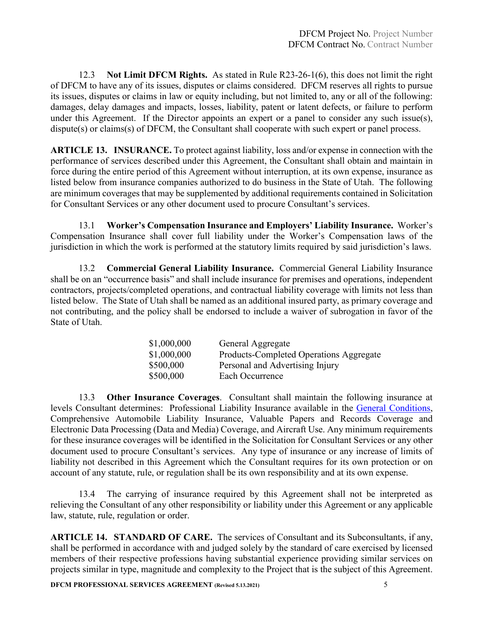12.3 **Not Limit DFCM Rights.** As stated in Rule R23-26-1(6), this does not limit the right of DFCM to have any of its issues, disputes or claims considered. DFCM reserves all rights to pursue its issues, disputes or claims in law or equity including, but not limited to, any or all of the following: damages, delay damages and impacts, losses, liability, patent or latent defects, or failure to perform under this Agreement. If the Director appoints an expert or a panel to consider any such issue(s), dispute(s) or claims(s) of DFCM, the Consultant shall cooperate with such expert or panel process.

**ARTICLE 13. INSURANCE.** To protect against liability, loss and/or expense in connection with the performance of services described under this Agreement, the Consultant shall obtain and maintain in force during the entire period of this Agreement without interruption, at its own expense, insurance as listed below from insurance companies authorized to do business in the State of Utah. The following are minimum coverages that may be supplemented by additional requirements contained in Solicitation for Consultant Services or any other document used to procure Consultant's services.

13.1 **Worker's Compensation Insurance and Employers' Liability Insurance.** Worker's Compensation Insurance shall cover full liability under the Worker's Compensation laws of the jurisdiction in which the work is performed at the statutory limits required by said jurisdiction's laws.

13.2 **Commercial General Liability Insurance.** Commercial General Liability Insurance shall be on an "occurrence basis" and shall include insurance for premises and operations, independent contractors, projects/completed operations, and contractual liability coverage with limits not less than listed below. The State of Utah shall be named as an additional insured party, as primary coverage and not contributing, and the policy shall be endorsed to include a waiver of subrogation in favor of the State of Utah.

| \$1,000,000 | General Aggregate                       |
|-------------|-----------------------------------------|
| \$1,000,000 | Products-Completed Operations Aggregate |
| \$500,000   | Personal and Advertising Injury         |
| \$500,000   | Each Occurrence                         |
|             |                                         |

13.3 **Other Insurance Coverages**. Consultant shall maintain the following insurance at levels Consultant determines: Professional Liability Insurance available in the [General Conditions,](https://dfcm.utah.gov/construction-management/#documents) Comprehensive Automobile Liability Insurance, Valuable Papers and Records Coverage and Electronic Data Processing (Data and Media) Coverage, and Aircraft Use. Any minimum requirements for these insurance coverages will be identified in the Solicitation for Consultant Services or any other document used to procure Consultant's services. Any type of insurance or any increase of limits of liability not described in this Agreement which the Consultant requires for its own protection or on account of any statute, rule, or regulation shall be its own responsibility and at its own expense.

13.4 The carrying of insurance required by this Agreement shall not be interpreted as relieving the Consultant of any other responsibility or liability under this Agreement or any applicable law, statute, rule, regulation or order.

**ARTICLE 14. STANDARD OF CARE.** The services of Consultant and its Subconsultants, if any, shall be performed in accordance with and judged solely by the standard of care exercised by licensed members of their respective professions having substantial experience providing similar services on projects similar in type, magnitude and complexity to the Project that is the subject of this Agreement.

**DFCM PROFESSIONAL SERVICES AGREEMENT (Revised 5.13.2021)** 5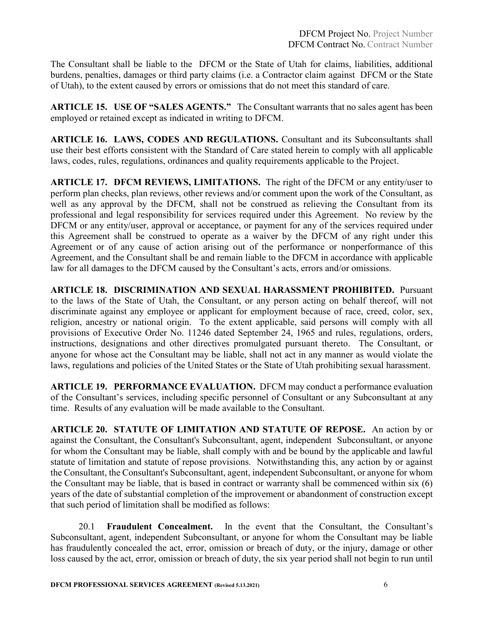The Consultant shall be liable to the DFCM or the State of Utah for claims, liabilities, additional burdens, penalties, damages or third party claims (i.e. a Contractor claim against DFCM or the State of Utah), to the extent caused by errors or omissions that do not meet this standard of care.

**ARTICLE 15. USE OF "SALES AGENTS."** The Consultant warrants that no sales agent has been employed or retained except as indicated in writing to DFCM.

**ARTICLE 16. LAWS, CODES AND REGULATIONS.** Consultant and its Subconsultants shall use their best efforts consistent with the Standard of Care stated herein to comply with all applicable laws, codes, rules, regulations, ordinances and quality requirements applicable to the Project.

**ARTICLE 17. DFCM REVIEWS, LIMITATIONS.** The right of the DFCM or any entity/user to perform plan checks, plan reviews, other reviews and/or comment upon the work of the Consultant, as well as any approval by the DFCM, shall not be construed as relieving the Consultant from its professional and legal responsibility for services required under this Agreement. No review by the DFCM or any entity/user, approval or acceptance, or payment for any of the services required under this Agreement shall be construed to operate as a waiver by the DFCM of any right under this Agreement or of any cause of action arising out of the performance or nonperformance of this Agreement, and the Consultant shall be and remain liable to the DFCM in accordance with applicable law for all damages to the DFCM caused by the Consultant's acts, errors and/or omissions.

**ARTICLE 18. DISCRIMINATION AND SEXUAL HARASSMENT PROHIBITED.** Pursuant to the laws of the State of Utah, the Consultant, or any person acting on behalf thereof, will not discriminate against any employee or applicant for employment because of race, creed, color, sex, religion, ancestry or national origin. To the extent applicable, said persons will comply with all provisions of Executive Order No. 11246 dated September 24, 1965 and rules, regulations, orders, instructions, designations and other directives promulgated pursuant thereto. The Consultant, or anyone for whose act the Consultant may be liable, shall not act in any manner as would violate the laws, regulations and policies of the United States or the State of Utah prohibiting sexual harassment.

**ARTICLE 19. PERFORMANCE EVALUATION.** DFCM may conduct a performance evaluation of the Consultant's services, including specific personnel of Consultant or any Subconsultant at any time. Results of any evaluation will be made available to the Consultant.

**ARTICLE 20. STATUTE OF LIMITATION AND STATUTE OF REPOSE.** An action by or against the Consultant, the Consultant's Subconsultant, agent, independent Subconsultant, or anyone for whom the Consultant may be liable, shall comply with and be bound by the applicable and lawful statute of limitation and statute of repose provisions. Notwithstanding this, any action by or against the Consultant, the Consultant's Subconsultant, agent, independent Subconsultant, or anyone for whom the Consultant may be liable, that is based in contract or warranty shall be commenced within six (6) years of the date of substantial completion of the improvement or abandonment of construction except that such period of limitation shall be modified as follows:

20.1 **Fraudulent Concealment.** In the event that the Consultant, the Consultant's Subconsultant, agent, independent Subconsultant, or anyone for whom the Consultant may be liable has fraudulently concealed the act, error, omission or breach of duty, or the injury, damage or other loss caused by the act, error, omission or breach of duty, the six year period shall not begin to run until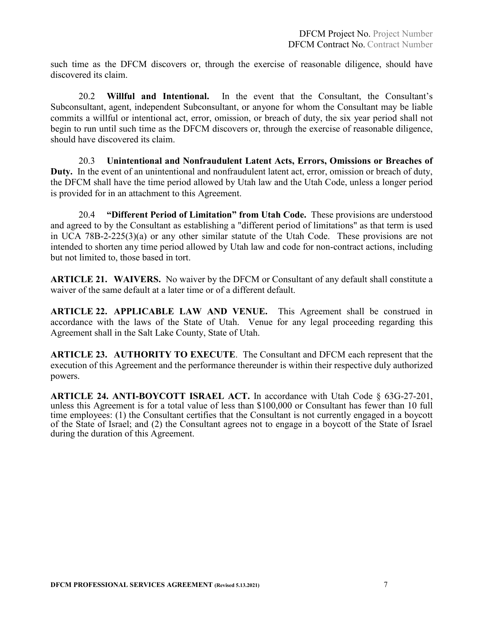such time as the DFCM discovers or, through the exercise of reasonable diligence, should have discovered its claim.

20.2 **Willful and Intentional.** In the event that the Consultant, the Consultant's Subconsultant, agent, independent Subconsultant, or anyone for whom the Consultant may be liable commits a willful or intentional act, error, omission, or breach of duty, the six year period shall not begin to run until such time as the DFCM discovers or, through the exercise of reasonable diligence, should have discovered its claim.

20.3 **Unintentional and Nonfraudulent Latent Acts, Errors, Omissions or Breaches of Duty.** In the event of an unintentional and nonfraudulent latent act, error, omission or breach of duty, the DFCM shall have the time period allowed by Utah law and the Utah Code, unless a longer period is provided for in an attachment to this Agreement.

20.4 **"Different Period of Limitation" from Utah Code.** These provisions are understood and agreed to by the Consultant as establishing a "different period of limitations" as that term is used in UCA 78B-2-225(3)(a) or any other similar statute of the Utah Code. These provisions are not intended to shorten any time period allowed by Utah law and code for non-contract actions, including but not limited to, those based in tort.

**ARTICLE 21. WAIVERS.** No waiver by the DFCM or Consultant of any default shall constitute a waiver of the same default at a later time or of a different default.

**ARTICLE 22. APPLICABLE LAW AND VENUE.** This Agreement shall be construed in accordance with the laws of the State of Utah. Venue for any legal proceeding regarding this Agreement shall in the Salt Lake County, State of Utah.

**ARTICLE 23. AUTHORITY TO EXECUTE**. The Consultant and DFCM each represent that the execution of this Agreement and the performance thereunder is within their respective duly authorized powers.

**ARTICLE 24. ANTI-BOYCOTT ISRAEL ACT.** In accordance with Utah Code § 63G-27-201, unless this Agreement is for a total value of less than \$100,000 or Consultant has fewer than 10 full time employees: (1) the Consultant certifies that the Consultant is not currently engaged in a boycott of the State of Israel; and (2) the Consultant agrees not to engage in a boycott of the State of Israel during the duration of this Agreement.